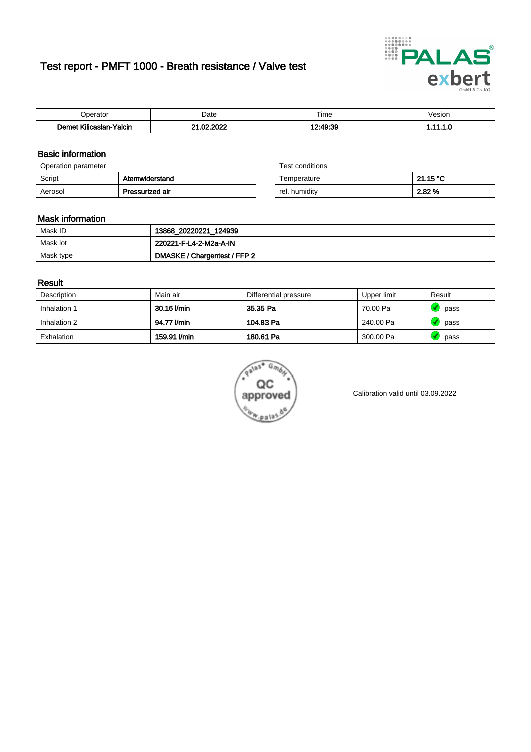# Test report - PMFT 1000 - Breath resistance / Valve test



| Joerator                           | Date                    | $- \cdot$<br>Гіmе | esion/ |
|------------------------------------|-------------------------|-------------------|--------|
| .<br>Yalcin<br>⊿slan-`<br>∴∧Ilicae | . nnoc<br>ഹ<br>. .<br>w | 10.10.20          | .      |

### Basic information

| Operation parameter |                 | Test conditions |          |
|---------------------|-----------------|-----------------|----------|
| Script              | Atemwiderstand  | Temperature     | 21.15 °C |
| Aerosol             | Pressurized air | rel. humidity   | 2.82 %   |

| Test conditions |          |
|-----------------|----------|
| Temperature     | 21.15 °C |
| rel. humidity   | 2.82%    |

#### Mask information

| Mask ID   | 13868_20220221_124939        |
|-----------|------------------------------|
| Mask lot  | 220221-F-L4-2-M2a-A-IN       |
| Mask type | DMASKE / Chargentest / FFP 2 |

### Result

| Description  | Main air     | Differential pressure | Upper limit | Result |
|--------------|--------------|-----------------------|-------------|--------|
| Inhalation 1 | 30.16 l/min  | 35.35 Pa              | 70.00 Pa    | pass   |
| Inhalation 2 | 94.77 l/min  | 104.83 Pa             | 240.00 Pa   | pass   |
| Exhalation   | 159.91 I/min | 180.61 Pa             | 300.00 Pa   | pass   |



Calibration valid until 03.09.2022